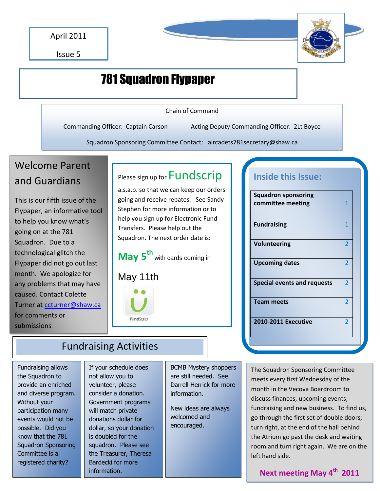Issue 5



# 781 Squadron Flypaper

Chain of Command

Commanding Officer: Captain Carson Acting Deputy Commanding Officer: 2Lt Boyce

Squadron Sponsoring Committee Contact: aircadets781secretary@shaw.ca

# Welcome Parent and Guardians

This is our fifth issue of the Flypaper, an informative tool to help you know what's going on at the 781 Squadron. Due to a technological glitch the Flypaper did not go out last month. We apologize for any problems that may have caused. Contact Colette Turner at [ccturner@shaw.ca](mailto:ccturner@shaw.ca) for comments or submissions

# Please sign up for **Fundscrip**

a.s.a.p. so that we can keep our orders going and receive rebates. See Sandy Stephen for more information or to help you sign up for Electronic Fund Transfers. Please help out the Squadron. The next order date is:

**May 5th** with cards coming in

## May 11th



| with cards coming in |  |
|----------------------|--|
|                      |  |

# **Inside this Issue:**

| <b>Squadron sponsoring</b><br>committee meeting | 1              |  |
|-------------------------------------------------|----------------|--|
| <b>Fundraising</b>                              | 1              |  |
| <b>Volunteering</b>                             | 2              |  |
| <b>Upcoming dates</b>                           | 2              |  |
| <b>Special events and requests</b>              | $\overline{2}$ |  |
| <b>Team meets</b>                               | $\overline{2}$ |  |
| <b>2010-2011 Executive</b>                      | $\overline{2}$ |  |
|                                                 |                |  |

## Fundraising Activities

Fundraising allows the Squadron to provide an enriched and diverse program. Without your participation many events would not be possible. Did you know that the 781 Squadron Sponsoring Committee is a registered charity?

If your schedule does not allow you to volunteer, please consider a donation. Government programs will match private donations dollar for dollar, so your donation is doubled for the squadron. Please see the Treasurer, Theresa Bardecki for more information.

BCMB Mystery shoppers are still needed. See Darrell Herrick for more information.

New ideas are always welcomed and encouraged.

The Squadron Sponsoring Committee meets every first Wednesday of the month in the Vecova Boardroom to discuss finances, upcoming events, fundraising and new business. To find us, go through the first set of double doors; turn right, at the end of the hall behind the Atrium go past the desk and waiting room and turn right again. We are on the left hand side.